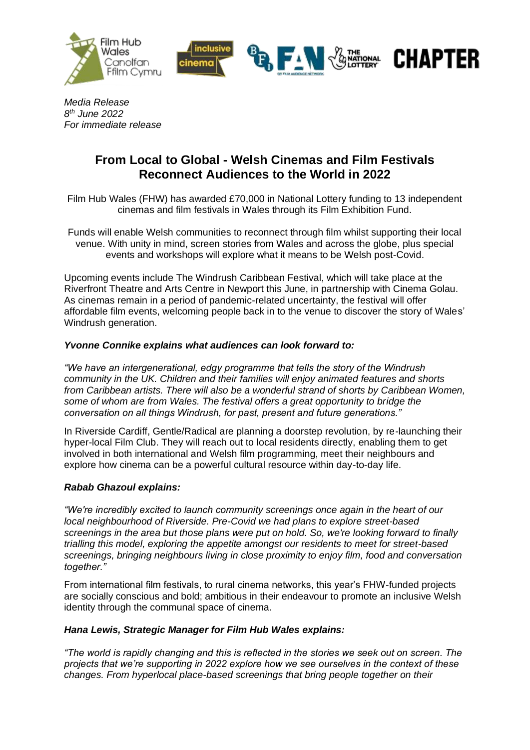



**CHAPTER** 

*Media Release 8 th June 2022 For immediate release*

# **From Local to Global - Welsh Cinemas and Film Festivals Reconnect Audiences to the World in 2022**

Film Hub Wales (FHW) has awarded £70,000 in National Lottery funding to 13 independent cinemas and film festivals in Wales through its Film Exhibition Fund.

Funds will enable Welsh communities to reconnect through film whilst supporting their local venue. With unity in mind, screen stories from Wales and across the globe, plus special events and workshops will explore what it means to be Welsh post-Covid.

Upcoming events include The Windrush Caribbean Festival, which will take place at the Riverfront Theatre and Arts Centre in Newport this June, in partnership with Cinema Golau. As cinemas remain in a period of pandemic-related uncertainty, the festival will offer affordable film events, welcoming people back in to the venue to discover the story of Wales' Windrush generation.

# *Yvonne Connike explains what audiences can look forward to:*

*"We have an intergenerational, edgy programme that tells the story of the Windrush community in the UK. Children and their families will enjoy animated features and shorts from Caribbean artists. There will also be a wonderful strand of shorts by Caribbean Women, some of whom are from Wales. The festival offers a great opportunity to bridge the conversation on all things Windrush, for past, present and future generations."*

In Riverside Cardiff, Gentle/Radical are planning a doorstep revolution, by re-launching their hyper-local Film Club. They will reach out to local residents directly, enabling them to get involved in both international and Welsh film programming, meet their neighbours and explore how cinema can be a powerful cultural resource within day-to-day life.

# *Rabab Ghazoul explains:*

*"We're incredibly excited to launch community screenings once again in the heart of our local neighbourhood of Riverside. Pre-Covid we had plans to explore street-based screenings in the area but those plans were put on hold. So, we're looking forward to finally trialling this model, exploring the appetite amongst our residents to meet for street-based screenings, bringing neighbours living in close proximity to enjoy film, food and conversation together."*

From international film festivals, to rural cinema networks, this year's FHW-funded projects are socially conscious and bold; ambitious in their endeavour to promote an inclusive Welsh identity through the communal space of cinema.

### *Hana Lewis, Strategic Manager for Film Hub Wales explains:*

*"The world is rapidly changing and this is reflected in the stories we seek out on screen. The projects that we're supporting in 2022 explore how we see ourselves in the context of these changes. From hyperlocal place-based screenings that bring people together on their*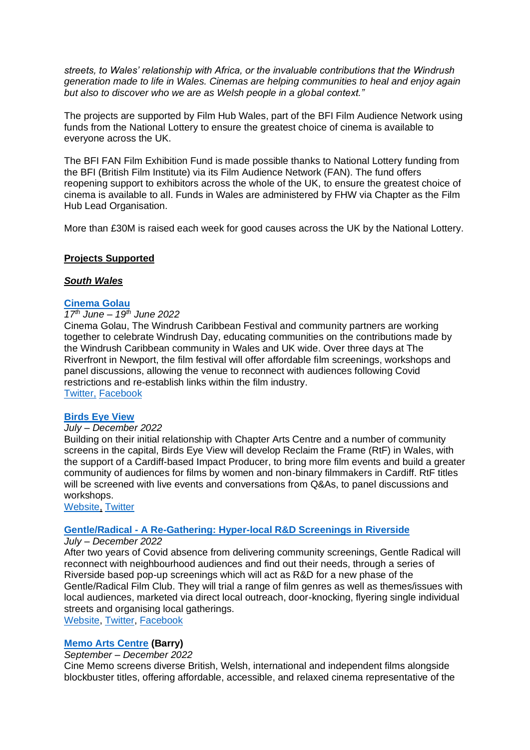*streets, to Wales' relationship with Africa, or the invaluable contributions that the Windrush generation made to life in Wales. Cinemas are helping communities to heal and enjoy again but also to discover who we are as Welsh people in a global context."*

The projects are supported by Film Hub Wales, part of the BFI Film Audience Network using funds from the National Lottery to ensure the greatest choice of cinema is available to everyone across the UK.

The BFI FAN Film Exhibition Fund is made possible thanks to National Lottery funding from the BFI (British Film Institute) via its Film Audience Network (FAN). The fund offers reopening support to exhibitors across the whole of the UK, to ensure the greatest choice of cinema is available to all. Funds in Wales are administered by FHW via Chapter as the Film Hub Lead Organisation.

More than £30M is raised each week for good causes across the UK by the National Lottery.

#### **Projects Supported**

#### *South Wales*

# **[Cinema Golau](https://www.facebook.com/cinemagolau/)**

### *17th June – 19th June 2022*

Cinema Golau, The Windrush Caribbean Festival and community partners are working together to celebrate Windrush Day, educating communities on the contributions made by the Windrush Caribbean community in Wales and UK wide. Over three days at The Riverfront in Newport, the film festival will offer affordable film screenings, workshops and panel discussions, allowing the venue to reconnect with audiences following Covid restrictions and re-establish links within the film industry. [Twitter,](https://twitter.com/cinemagolau) [Facebook](https://www.facebook.com/cinemagolau/)

#### **[Birds Eye View](https://www.birds-eye-view.co.uk/)**

#### *July – December 2022*

Building on their initial relationship with Chapter Arts Centre and a number of community screens in the capital, Birds Eye View will develop Reclaim the Frame (RtF) in Wales, with the support of a Cardiff-based Impact Producer, to bring more film events and build a greater community of audiences for films by women and non-binary filmmakers in Cardiff. RtF titles will be screened with live events and conversations from Q&As, to panel discussions and workshops.

[Website,](https://www.birds-eye-view.co.uk/) [Twitter](https://twitter.com/BirdsEyeViewRTF)

#### **Gentle/Radical - [A Re-Gathering: Hyper-local R&D Screenings in Riverside](http://gentleradical.org/)**

#### *July – December 2022*

After two years of Covid absence from delivering community screenings, Gentle Radical will reconnect with neighbourhood audiences and find out their needs, through a series of Riverside based pop-up screenings which will act as R&D for a new phase of the Gentle/Radical Film Club. They will trial a range of film genres as well as themes/issues with local audiences, marketed via direct local outreach, door-knocking, flyering single individual streets and organising local gatherings.

[Website,](http://gentleradical.org/) [Twitter,](https://twitter.com/gentle_hq?ref_src=twsrc%5Egoogle%7Ctwcamp%5Eserp%7Ctwgr%5Eauthor) [Facebook](https://www.facebook.com/gentleradical/)

### **[Memo Arts Centre](https://memoartscentre.co.uk/) (Barry)**

# *September – December 2022*

Cine Memo screens diverse British, Welsh, international and independent films alongside blockbuster titles, offering affordable, accessible, and relaxed cinema representative of the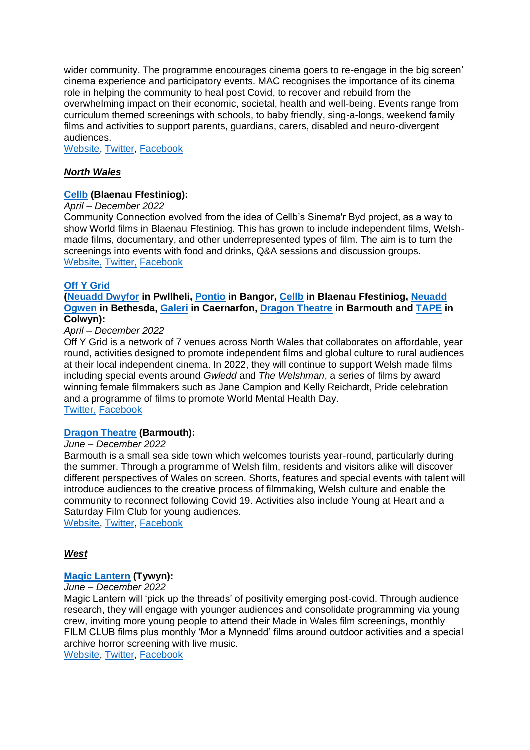wider community. The programme encourages cinema goers to re-engage in the big screen' cinema experience and participatory events. MAC recognises the importance of its cinema role in helping the community to heal post Covid, to recover and rebuild from the overwhelming impact on their economic, societal, health and well-being. Events range from curriculum themed screenings with schools, to baby friendly, sing-a-longs, weekend family films and activities to support parents, guardians, carers, disabled and neuro-divergent audiences.

[Website,](https://memoartscentre.co.uk/) [Twitter,](https://twitter.com/BarryMemo?ref_src=twsrc%5Egoogle%7Ctwcamp%5Eserp%7Ctwgr%5Eauthor) [Facebook](https://www.facebook.com/BarryMemo/)

### *North Wales*

#### **[Cellb](https://cellb.square.site/) (Blaenau Ffestiniog):**

#### *April – December 2022*

Community Connection evolved from the idea of Cellb's Sinema'r Byd project, as a way to show World films in Blaenau Ffestiniog. This has grown to include independent films, Welshmade films, documentary, and other underrepresented types of film. The aim is to turn the screenings into events with food and drinks, Q&A sessions and discussion groups. [Website,](https://cellb.square.site/) [Twitter,](https://twitter.com/cellblaenau) [Facebook](https://www.facebook.com/CellBlaenau/)

#### **[Off Y Grid](https://twitter.com/offygrid)**

#### **[\(Neuadd Dwyfor](https://www.pwllheli.cymru/cinema-theatre/) in Pwllheli, [Pontio](https://www.pontio.co.uk/Online/default.asp) in Bangor, [Cellb](https://cellb.square.site/) in Blaenau Ffestiniog, [Neuadd](https://neuaddogwen.com/en/)  [Ogwen](https://neuaddogwen.com/en/) in Bethesda, [Galeri](https://galericaernarfon.com/sinema) in Caernarfon, [Dragon Theatre](https://www.dragontheatre.co.uk/) in Barmouth and [TAPE](https://tapemusicandfilm.co.uk/) in Colwyn):**

# *April – December 2022*

Off Y Grid is a network of 7 venues across North Wales that collaborates on affordable, year round, activities designed to promote independent films and global culture to rural audiences at their local independent cinema. In 2022, they will continue to support Welsh made films including special events around *Gwledd* and *The Welshman*, a series of films by award winning female filmmakers such as Jane Campion and Kelly Reichardt, Pride celebration and a programme of films to promote World Mental Health Day. [Twitter,](https://twitter.com/OffYGrid) [Facebook](https://www.facebook.com/offygrid)

#### **[Dragon Theatre](https://www.dragontheatre.co.uk/) (Barmouth):** *June – December 2022*

## Barmouth is a small sea side town which welcomes tourists year-round, particularly during the summer. Through a programme of Welsh film, residents and visitors alike will discover different perspectives of Wales on screen. Shorts, features and special events with talent will introduce audiences to the creative process of filmmaking, Welsh culture and enable the community to reconnect following Covid 19. Activities also include Young at Heart and a Saturday Film Club for young audiences.

[Website,](https://www.dragontheatre.co.uk/) [Twitter,](https://twitter.com/DragonBarmouth) [Facebook](https://www.facebook.com/dragontheatre)

#### *West*

#### **[Magic Lantern](https://www.tywyncinema.co.uk/) (Tywyn):**

*June – December 2022*

Magic Lantern will 'pick up the threads' of positivity emerging post-covid. Through audience research, they will engage with younger audiences and consolidate programming via young crew, inviting more young people to attend their Made in Wales film screenings, monthly FILM CLUB films plus monthly 'Mor a Mynnedd' films around outdoor activities and a special archive horror screening with live music.

[Website,](https://www.tywyncinema.co.uk/) [Twitter,](https://twitter.com/thetywyncinema) [Facebook](https://www.facebook.com/TywynCinema/)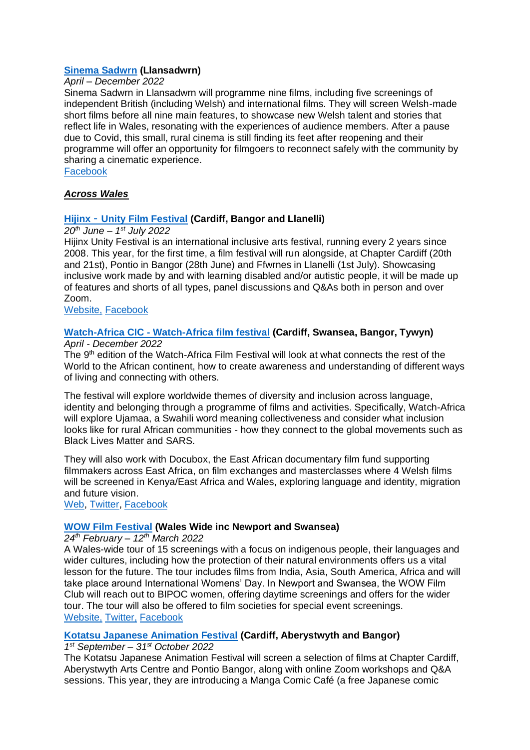### **[Sinema Sadwrn](https://www.facebook.com/sinemasadwrn/) (Llansadwrn)**

#### *April – December 2022*

Sinema Sadwrn in Llansadwrn will programme nine films, including five screenings of independent British (including Welsh) and international films. They will screen Welsh-made short films before all nine main features, to showcase new Welsh talent and stories that reflect life in Wales, resonating with the experiences of audience members. After a pause due to Covid, this small, rural cinema is still finding its feet after reopening and their programme will offer an opportunity for filmgoers to reconnect safely with the community by sharing a cinematic experience.

[Facebook](https://www.facebook.com/sinemasadwrn/)

### *Across Wales*

### **Hijinx** - **[Unity Film Festival](https://www.hijinx.org.uk/unity2022/) (Cardiff, Bangor and Llanelli)**

#### *20th June – 1 st July 2022*

Hijinx Unity Festival is an international inclusive arts festival, running every 2 years since 2008. This year, for the first time, a film festival will run alongside, at Chapter Cardiff (20th and 21st), Pontio in Bangor (28th June) and Ffwrnes in Llanelli (1st July). Showcasing inclusive work made by and with learning disabled and/or autistic people, it will be made up of features and shorts of all types, panel discussions and Q&As both in person and over Zoom.

[Website,](https://www.hijinx.org.uk/unity-festival/) [Facebook](https://www.facebook.com/HijinxUnityFestival/)

# **Watch-Africa CIC - [Watch-Africa film festival](https://www.watch-africa.co.uk/) (Cardiff, Swansea, Bangor, Tywyn)**

*April - December 2022*

The 9<sup>th</sup> edition of the Watch-Africa Film Festival will look at what connects the rest of the World to the African continent, how to create awareness and understanding of different ways of living and connecting with others.

The festival will explore worldwide themes of diversity and inclusion across language, identity and belonging through a programme of films and activities. Specifically, Watch-Africa will explore Ujamaa, a Swahili word meaning collectiveness and consider what inclusion looks like for rural African communities - how they connect to the global movements such as Black Lives Matter and SARS.

They will also work with Docubox, the East African documentary film fund supporting filmmakers across East Africa, on film exchanges and masterclasses where 4 Welsh films will be screened in Kenya/East Africa and Wales, exploring language and identity, migration and future vision.

[Web,](https://www.watch-africa.co.uk/) [Twitter,](https://twitter.com/watchafricacy?lang=en-GB) [Facebook](https://www.facebook.com/WatchAfricaCymru/)

### **[WOW Film Festival](https://www.wowfilmfestival.com/) (Wales Wide inc Newport and Swansea)**

*24th February – 12th March 2022*

A Wales-wide tour of 15 screenings with a focus on indigenous people, their languages and wider cultures, including how the protection of their natural environments offers us a vital lesson for the future. The tour includes films from India, Asia, South America, Africa and will take place around International Womens' Day. In Newport and Swansea, the WOW Film Club will reach out to BIPOC women, offering daytime screenings and offers for the wider tour. The tour will also be offered to film societies for special event screenings. [Website,](https://www.wowfilmfestival.com/) [Twitter,](https://twitter.com/WOWFilm) [Facebook](https://www.facebook.com/WOWfilmfest)

### **[Kotatsu Japanese Animation Festival](http://www.kotatsufestival.com/) (Cardiff, Aberystwyth and Bangor)**

*1 st September – 31st October 2022*

The Kotatsu Japanese Animation Festival will screen a selection of films at Chapter Cardiff, Aberystwyth Arts Centre and Pontio Bangor, along with online Zoom workshops and Q&A sessions. This year, they are introducing a Manga Comic Café (a free Japanese comic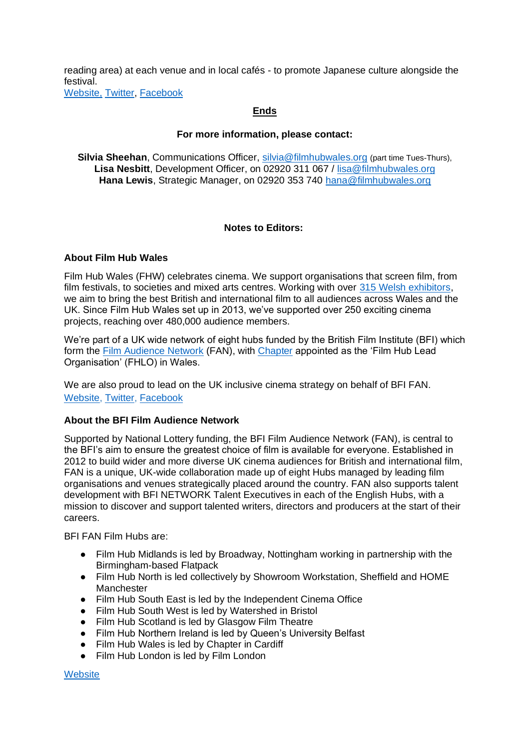reading area) at each venue and in local cafés - to promote Japanese culture alongside the festival.

[Website,](http://www.kotatsufestival.com/) [Twitter,](https://twitter.com/Kotatsufestival) [Facebook](https://www.facebook.com/KotatsuFestival)

# **Ends**

### **For more information, please contact:**

**Silvia Sheehan**, Communications Officer, [silvia@filmhubwales.org](mailto:silvia@filmhubwales.org) (part time Tues-Thurs), **Lisa Nesbitt**, Development Officer, on 02920 311 067 / [lisa@filmhubwales.org](mailto:lisa@filmhubwales.org) **Hana Lewis**, Strategic Manager, on 02920 353 740 [hana@filmhubwales.org](mailto:hana@filmhubwales.org)

### **Notes to Editors:**

#### **About Film Hub Wales**

Film Hub Wales (FHW) celebrates cinema. We support organisations that screen film, from film festivals, to societies and mixed arts centres. Working with over [315 Welsh exhibitors,](https://filmhubwales.org/members/) we aim to bring the best British and international film to all audiences across Wales and the UK. Since Film Hub Wales set up in 2013, we've supported over 250 exciting cinema projects, reaching over 480,000 audience members.

We're part of a UK wide network of eight hubs funded by the British Film Institute (BFI) which form the [Film Audience Network](https://www.bfi.org.uk/supporting-uk-film/distribution-exhibition-funding/film-audience-network) (FAN), with [Chapter](http://www.chapter.org/) appointed as the 'Film Hub Lead Organisation' (FHLO) in Wales.

We are also proud to lead on the UK inclusive cinema strategy on behalf of BFI FAN. [Website,](https://filmhubwales.org/en/) [Twitter,](https://twitter.com/filmhubwales) [Facebook](https://www.facebook.com/filmhubwales/)

### **About the BFI Film Audience Network**

Supported by National Lottery funding, the BFI Film Audience Network (FAN), is central to the BFI's aim to ensure the greatest choice of film is available for everyone. Established in 2012 to build wider and more diverse UK cinema audiences for British and international film, FAN is a unique, UK-wide collaboration made up of eight Hubs managed by leading film organisations and venues strategically placed around the country. FAN also supports talent development with BFI NETWORK Talent Executives in each of the English Hubs, with a mission to discover and support talented writers, directors and producers at the start of their careers.

BFI FAN Film Hubs are:

- Film Hub Midlands is led by Broadway, Nottingham working in partnership with the Birmingham-based Flatpack
- Film Hub North is led collectively by Showroom Workstation, Sheffield and HOME Manchester
- Film Hub South East is led by the Independent Cinema Office
- Film Hub South West is led by Watershed in Bristol
- Film Hub Scotland is led by Glasgow Film Theatre
- Film Hub Northern Ireland is led by Queen's University Belfast
- Film Hub Wales is led by Chapter in Cardiff
- Film Hub London is led by Film London

**[Website](https://www.bfi.org.uk/supporting-uk-film/distribution-exhibition-funding/film-audience-network)**